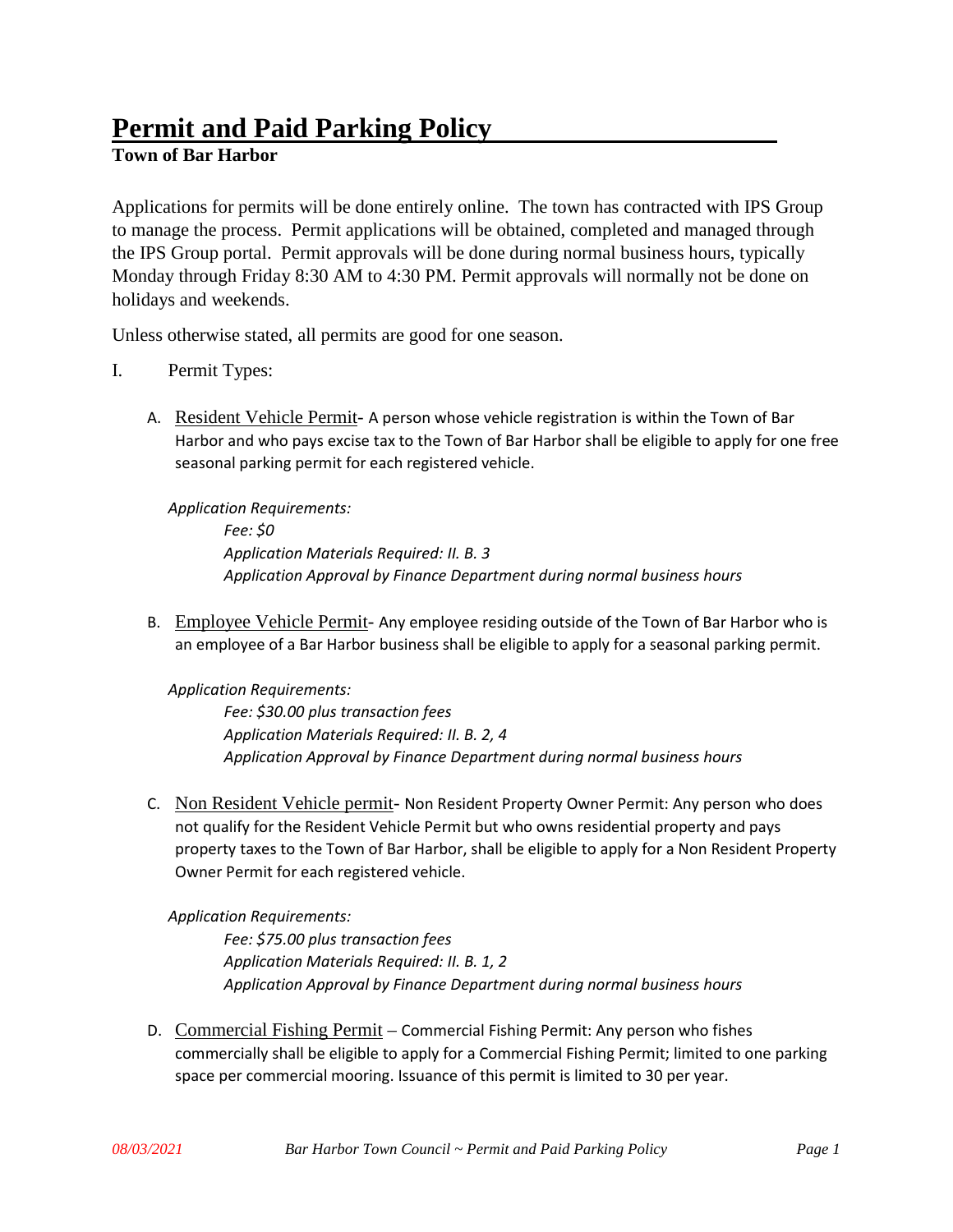# **Permit and Paid Parking Policy**

## **Town of Bar Harbor**

Applications for permits will be done entirely online. The town has contracted with IPS Group to manage the process. Permit applications will be obtained, completed and managed through the IPS Group portal. Permit approvals will be done during normal business hours, typically Monday through Friday 8:30 AM to 4:30 PM. Permit approvals will normally not be done on holidays and weekends.

Unless otherwise stated, all permits are good for one season.

- I. Permit Types:
	- A. Resident Vehicle Permit- A person whose vehicle registration is within the Town of Bar Harbor and who pays excise tax to the Town of Bar Harbor shall be eligible to apply for one free seasonal parking permit for each registered vehicle.

*Application Requirements: Fee: \$0 Application Materials Required: II. B. 3 Application Approval by Finance Department during normal business hours*

B. Employee Vehicle Permit- Any employee residing outside of the Town of Bar Harbor who is an employee of a Bar Harbor business shall be eligible to apply for a seasonal parking permit.

*Application Requirements:*

*Fee: \$30.00 plus transaction fees Application Materials Required: II. B. 2, 4 Application Approval by Finance Department during normal business hours*

C. Non Resident Vehicle permit- Non Resident Property Owner Permit: Any person who does not qualify for the Resident Vehicle Permit but who owns residential property and pays property taxes to the Town of Bar Harbor, shall be eligible to apply for a Non Resident Property Owner Permit for each registered vehicle.

*Application Requirements:*

*Fee: \$75.00 plus transaction fees Application Materials Required: II. B. 1, 2 Application Approval by Finance Department during normal business hours*

D. Commercial Fishing Permit – Commercial Fishing Permit: Any person who fishes commercially shall be eligible to apply for a Commercial Fishing Permit; limited to one parking space per commercial mooring. Issuance of this permit is limited to 30 per year.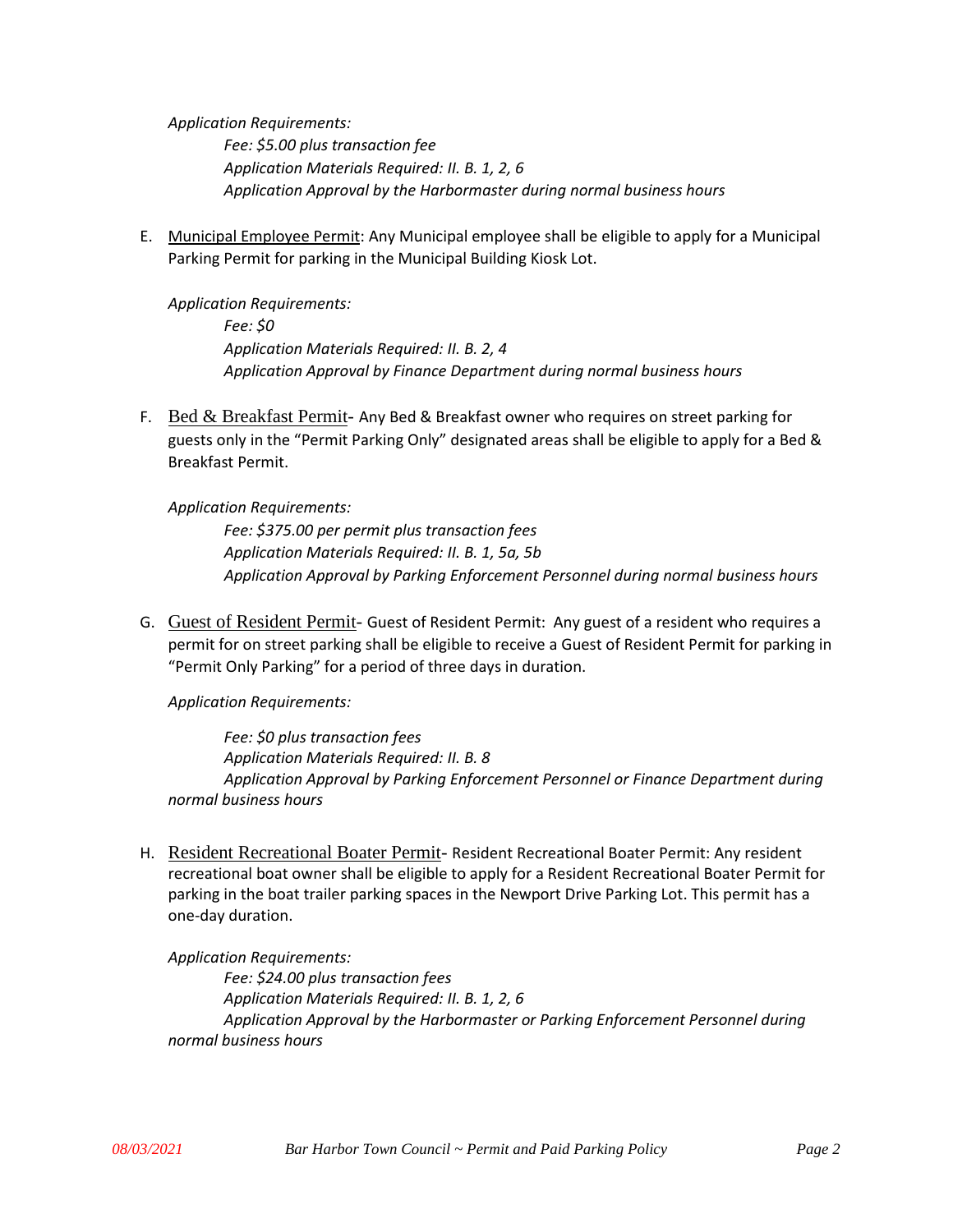*Application Requirements:*

*Fee: \$5.00 plus transaction fee Application Materials Required: II. B. 1, 2, 6 Application Approval by the Harbormaster during normal business hours*

E. Municipal Employee Permit: Any Municipal employee shall be eligible to apply for a Municipal Parking Permit for parking in the Municipal Building Kiosk Lot.

*Application Requirements: Fee: \$0 Application Materials Required: II. B. 2, 4 Application Approval by Finance Department during normal business hours*

F. Bed  $\&$  Breakfast Permit- Any Bed & Breakfast owner who requires on street parking for guests only in the "Permit Parking Only" designated areas shall be eligible to apply for a Bed & Breakfast Permit.

*Application Requirements: Fee: \$375.00 per permit plus transaction fees Application Materials Required: II. B. 1, 5a, 5b Application Approval by Parking Enforcement Personnel during normal business hours*

G. Guest of Resident Permit- Guest of Resident Permit: Any guest of a resident who requires a permit for on street parking shall be eligible to receive a Guest of Resident Permit for parking in "Permit Only Parking" for a period of three days in duration.

*Application Requirements:*

*Fee: \$0 plus transaction fees Application Materials Required: II. B. 8 Application Approval by Parking Enforcement Personnel or Finance Department during normal business hours*

H. Resident Recreational Boater Permit- Resident Recreational Boater Permit: Any resident recreational boat owner shall be eligible to apply for a Resident Recreational Boater Permit for parking in the boat trailer parking spaces in the Newport Drive Parking Lot. This permit has a one-day duration.

*Application Requirements: Fee: \$24.00 plus transaction fees Application Materials Required: II. B. 1, 2, 6 Application Approval by the Harbormaster or Parking Enforcement Personnel during normal business hours*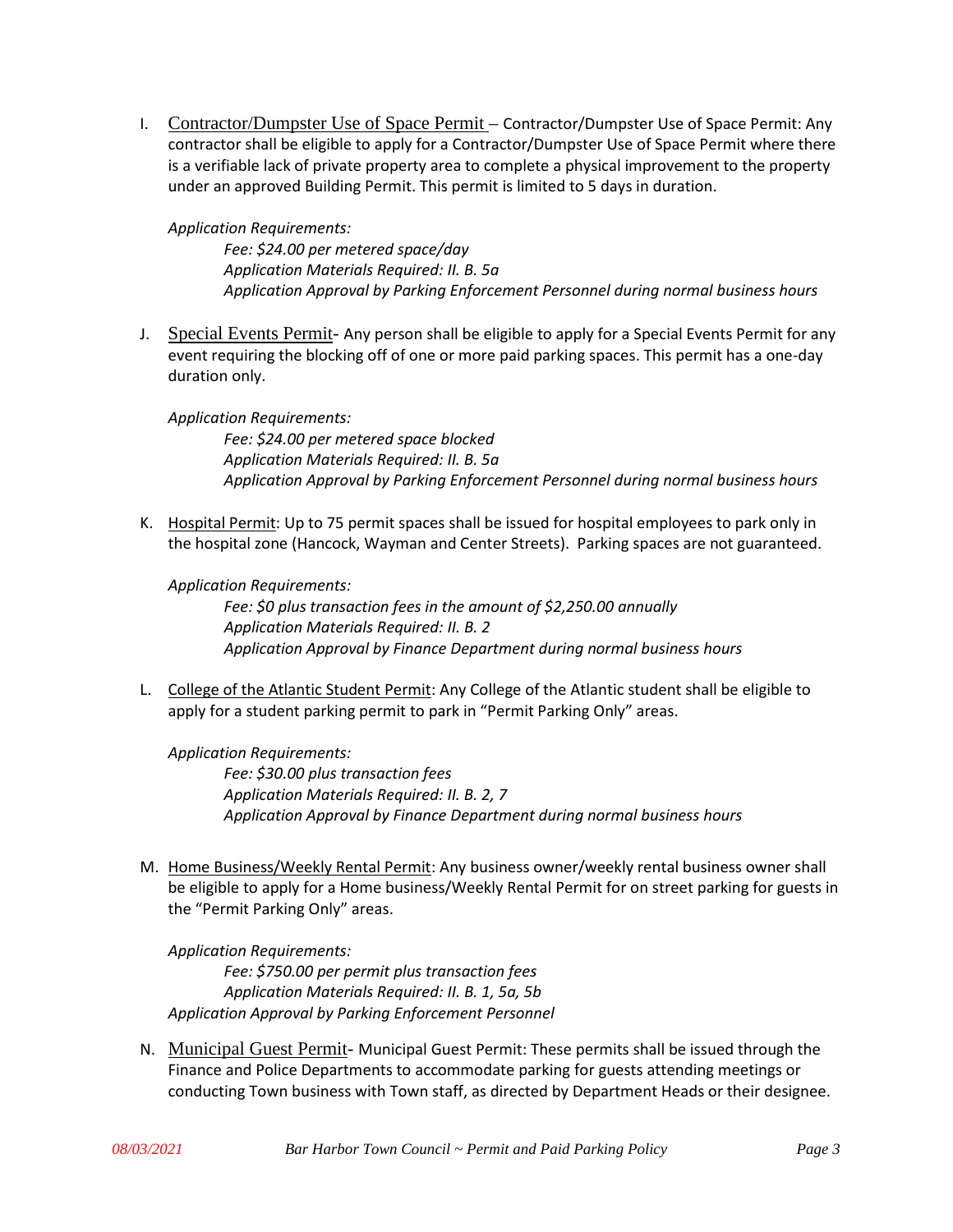I. Contractor/Dumpster Use of Space Permit – Contractor/Dumpster Use of Space Permit: Any contractor shall be eligible to apply for a Contractor/Dumpster Use of Space Permit where there is a verifiable lack of private property area to complete a physical improvement to the property under an approved Building Permit. This permit is limited to 5 days in duration.

*Application Requirements:*

*Fee: \$24.00 per metered space/day Application Materials Required: II. B. 5a Application Approval by Parking Enforcement Personnel during normal business hours*

J. Special Events Permit- Any person shall be eligible to apply for a Special Events Permit for any event requiring the blocking off of one or more paid parking spaces. This permit has a one-day duration only.

*Application Requirements:*

*Fee: \$24.00 per metered space blocked Application Materials Required: II. B. 5a Application Approval by Parking Enforcement Personnel during normal business hours*

K. Hospital Permit: Up to 75 permit spaces shall be issued for hospital employees to park only in the hospital zone (Hancock, Wayman and Center Streets). Parking spaces are not guaranteed.

#### *Application Requirements:*

*Fee: \$0 plus transaction fees in the amount of \$2,250.00 annually Application Materials Required: II. B. 2 Application Approval by Finance Department during normal business hours*

L. College of the Atlantic Student Permit: Any College of the Atlantic student shall be eligible to apply for a student parking permit to park in "Permit Parking Only" areas.

*Application Requirements: Fee: \$30.00 plus transaction fees Application Materials Required: II. B. 2, 7 Application Approval by Finance Department during normal business hours*

M. Home Business/Weekly Rental Permit: Any business owner/weekly rental business owner shall be eligible to apply for a Home business/Weekly Rental Permit for on street parking for guests in the "Permit Parking Only" areas.

*Application Requirements: Fee: \$750.00 per permit plus transaction fees Application Materials Required: II. B. 1, 5a, 5b Application Approval by Parking Enforcement Personnel*

N. Municipal Guest Permit- Municipal Guest Permit: These permits shall be issued through the Finance and Police Departments to accommodate parking for guests attending meetings or conducting Town business with Town staff, as directed by Department Heads or their designee.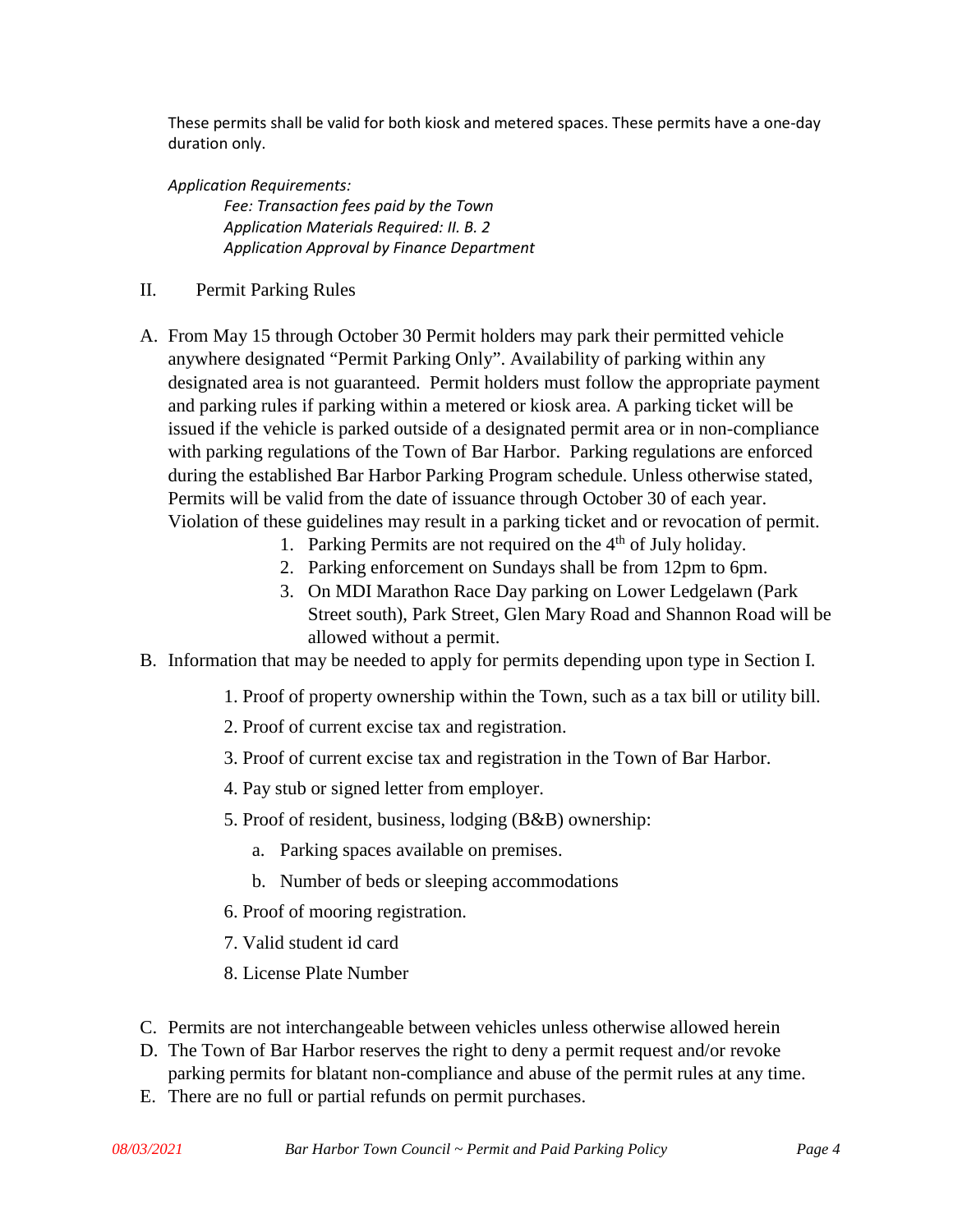These permits shall be valid for both kiosk and metered spaces. These permits have a one-day duration only.

*Application Requirements:*

*Fee: Transaction fees paid by the Town Application Materials Required: II. B. 2 Application Approval by Finance Department*

- II. Permit Parking Rules
- A. From May 15 through October 30 Permit holders may park their permitted vehicle anywhere designated "Permit Parking Only". Availability of parking within any designated area is not guaranteed. Permit holders must follow the appropriate payment and parking rules if parking within a metered or kiosk area. A parking ticket will be issued if the vehicle is parked outside of a designated permit area or in non-compliance with parking regulations of the Town of Bar Harbor. Parking regulations are enforced during the established Bar Harbor Parking Program schedule. Unless otherwise stated, Permits will be valid from the date of issuance through October 30 of each year. Violation of these guidelines may result in a parking ticket and or revocation of permit.
	- 1. Parking Permits are not required on the  $4<sup>th</sup>$  of July holiday.
	- 2. Parking enforcement on Sundays shall be from 12pm to 6pm.
	- 3. On MDI Marathon Race Day parking on Lower Ledgelawn (Park Street south), Park Street, Glen Mary Road and Shannon Road will be allowed without a permit.
- B. Information that may be needed to apply for permits depending upon type in Section I.
	- 1. Proof of property ownership within the Town, such as a tax bill or utility bill.
	- 2. Proof of current excise tax and registration.
	- 3. Proof of current excise tax and registration in the Town of Bar Harbor.
	- 4. Pay stub or signed letter from employer.
	- 5. Proof of resident, business, lodging (B&B) ownership:
		- a. Parking spaces available on premises.
		- b. Number of beds or sleeping accommodations
	- 6. Proof of mooring registration.
	- 7. Valid student id card
	- 8. License Plate Number
- C. Permits are not interchangeable between vehicles unless otherwise allowed herein
- D. The Town of Bar Harbor reserves the right to deny a permit request and/or revoke parking permits for blatant non-compliance and abuse of the permit rules at any time.
- E. There are no full or partial refunds on permit purchases.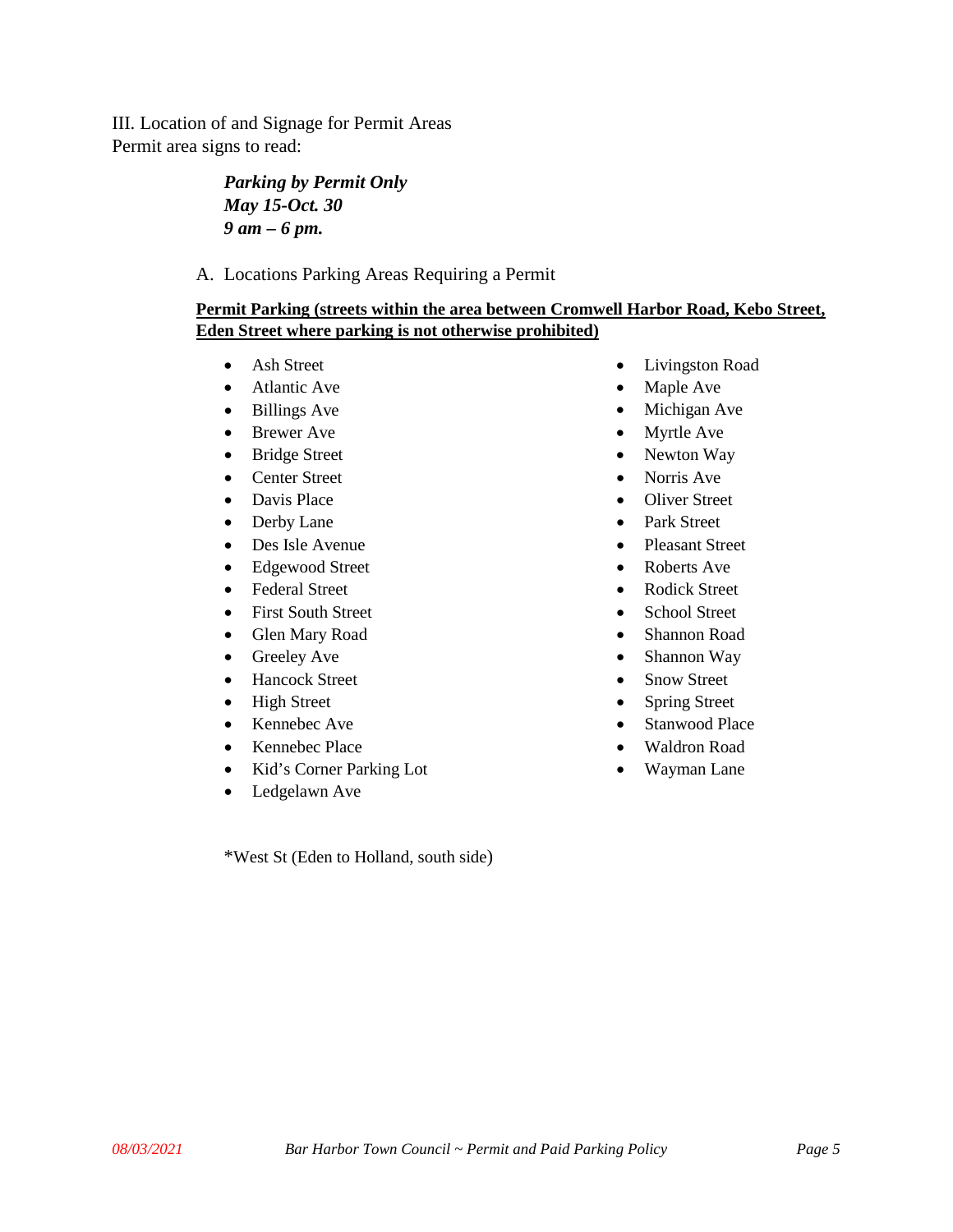III. Location of and Signage for Permit Areas Permit area signs to read:

## *Parking by Permit Only May 15-Oct. 30 9 am – 6 pm.*

A. Locations Parking Areas Requiring a Permit

### **Permit Parking (streets within the area between Cromwell Harbor Road, Kebo Street, Eden Street where parking is not otherwise prohibited)**

- Ash Street
- Atlantic Ave
- Billings Ave
- Brewer Ave
- Bridge Street
- Center Street
- Davis Place
- Derby Lane
- Des Isle Avenue
- Edgewood Street
- Federal Street
- First South Street
- Glen Mary Road
- Greeley Ave
- Hancock Street
- High Street
- Kennebec Ave
- Kennebec Place
- Kid's Corner Parking Lot
- Ledgelawn Ave

\*West St (Eden to Holland, south side)

- Livingston Road
- Maple Ave
- Michigan Ave
- Myrtle Ave
- Newton Way
- Norris Ave
- Oliver Street
- Park Street
- Pleasant Street
- Roberts Ave
- Rodick Street
- School Street
- Shannon Road
- Shannon Way
- Snow Street
- Spring Street
- Stanwood Place
- Waldron Road
- Wayman Lane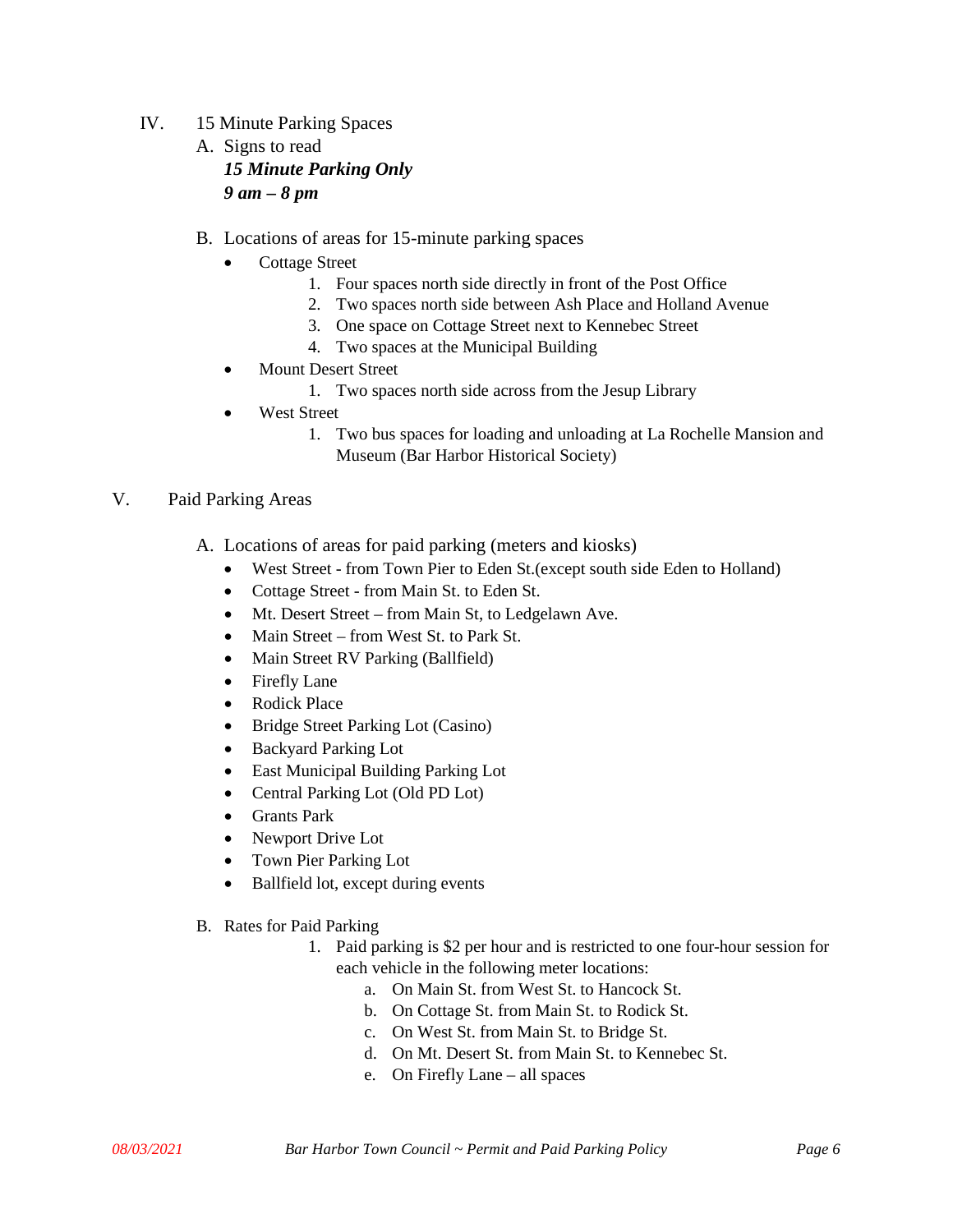- IV. 15 Minute Parking Spaces A. Signs to read *15 Minute Parking Only 9 am – 8 pm*
	- B. Locations of areas for 15-minute parking spaces
		- Cottage Street
			- 1. Four spaces north side directly in front of the Post Office
			- 2. Two spaces north side between Ash Place and Holland Avenue
			- 3. One space on Cottage Street next to Kennebec Street
			- 4. Two spaces at the Municipal Building
		- Mount Desert Street
			- 1. Two spaces north side across from the Jesup Library
		- **West Street** 
			- 1. Two bus spaces for loading and unloading at La Rochelle Mansion and Museum (Bar Harbor Historical Society)

### V. Paid Parking Areas

- A. Locations of areas for paid parking (meters and kiosks)
	- West Street from Town Pier to Eden St. (except south side Eden to Holland)
	- Cottage Street from Main St. to Eden St.
	- Mt. Desert Street from Main St, to Ledgelawn Ave.
	- Main Street from West St. to Park St.
	- Main Street RV Parking (Ballfield)
	- Firefly Lane
	- Rodick Place
	- Bridge Street Parking Lot (Casino)
	- Backyard Parking Lot
	- East Municipal Building Parking Lot
	- Central Parking Lot (Old PD Lot)
	- Grants Park
	- Newport Drive Lot
	- Town Pier Parking Lot
	- Ballfield lot, except during events
- B. Rates for Paid Parking
	- 1. Paid parking is \$2 per hour and is restricted to one four-hour session for each vehicle in the following meter locations:
		- a. On Main St. from West St. to Hancock St.
		- b. On Cottage St. from Main St. to Rodick St.
		- c. On West St. from Main St. to Bridge St.
		- d. On Mt. Desert St. from Main St. to Kennebec St.
		- e. On Firefly Lane all spaces